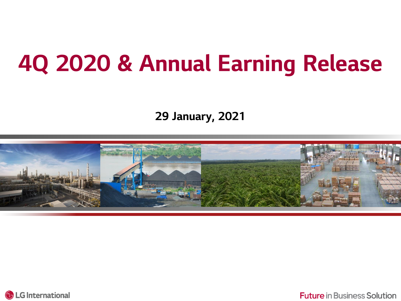# 4Q 2020 & Annual Earning Release

29 January, 2021





**Future in Business Solution**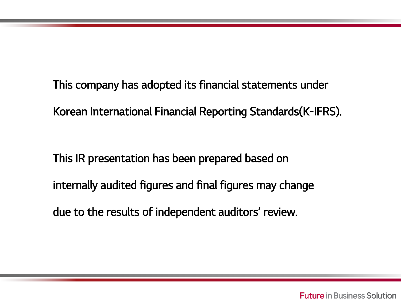This company has adopted its financial statements under

Korean International Financial Reporting Standards(K-IFRS).

This IR presentation has been prepared based on internally audited figures and final figures may change due to the results of independent auditors' review.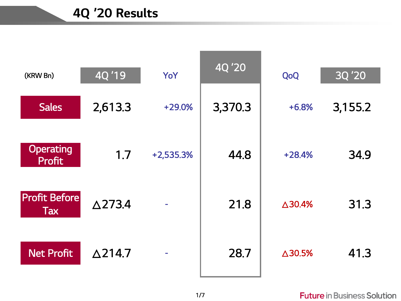# 4Q '20 Results

| (KRW Bn)                           | 4Q '19            | YoY            | 4Q'20   | QoQ               | 3Q '20  |
|------------------------------------|-------------------|----------------|---------|-------------------|---------|
| <b>Sales</b>                       | 2,613.3           | $+29.0%$       | 3,370.3 | $+6.8%$           | 3,155.2 |
| <b>Operating</b><br><b>Profit</b>  | 1.7               | $+2,535.3%$    | 44.8    | $+28.4%$          | 34.9    |
| <b>Profit Before</b><br><b>Tax</b> | $\triangle$ 273.4 | $\blacksquare$ | 21.8    | $\triangle$ 30.4% | 31.3    |
| <b>Net Profit</b>                  | $\triangle$ 214.7 | ۰              | 28.7    | $\Delta$ 30.5%    | 41.3    |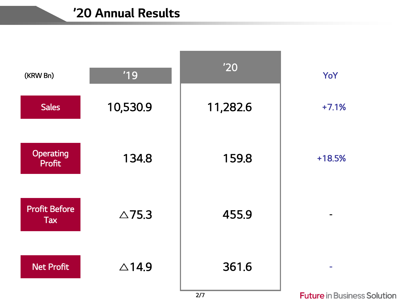### '20 Annual Results

| (KRW Bn)                          | '19              | '20      | YoY      |
|-----------------------------------|------------------|----------|----------|
| <b>Sales</b>                      | 10,530.9         | 11,282.6 | $+7.1%$  |
| <b>Operating</b><br><b>Profit</b> | 134.8            | 159.8    | $+18.5%$ |
| <b>Profit Before</b><br>Tax       | $\triangle$ 75.3 | 455.9    |          |
| <b>Net Profit</b>                 | $\triangle$ 14.9 | 361.6    |          |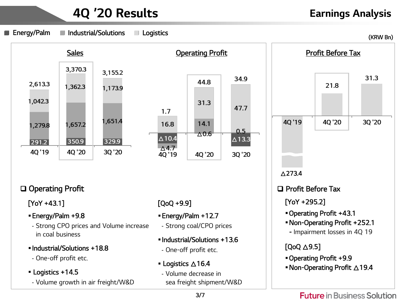# 4Q '20 Results

#### Earnings Analysis



(KRW Bn)



#### □ Operating Profit

#### [YoY +43.1]

- Energy/Palm +9.8
- ‐ Strong CPO prices and Volume increase in coal business
- Industrial/Solutions +18.8
- ‐ One-off profit etc.
- **Logistics +14.5** 
	- ‐ Volume growth in air freight/W&D
- [QoQ +9.9]
- Energy/Palm +12.7
- ‐ Strong coal/CPO prices
- Industrial/Solutions +13.6
- ‐ One-off profit etc.
- **Logistics**  $\triangle$  **16.4**
- ‐ Volume decrease in sea freight shipment/W&D

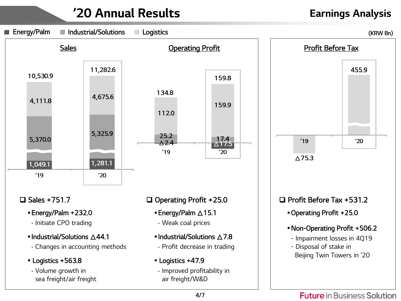#### '20 Annual Results Earnings Analysis

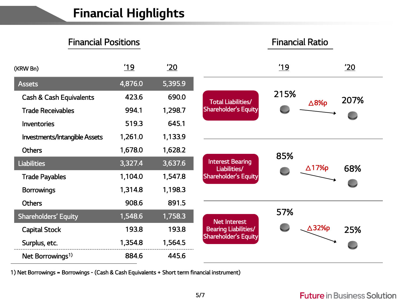# Financial Highlights

#### Financial Positions Financial Ratio

| (KRW Bn)                             | $^{\prime}$ 19 | '20     |                                         | <u>'19</u>           | '20  |
|--------------------------------------|----------------|---------|-----------------------------------------|----------------------|------|
| <b>Assets</b>                        | 4,876.0        | 5,395.9 |                                         |                      |      |
| <b>Cash &amp; Cash Equivalents</b>   | 423.6          | 690.0   | <b>Total Liabilities/</b>               | 215%<br>$\Delta$ 8%p | 207% |
| <b>Trade Receivables</b>             | 994.1          | 1,298.7 | <b>Shareholder's Equity</b>             |                      |      |
| <b>Inventories</b>                   | 519.3          | 645.1   |                                         |                      |      |
| <b>Investments/Intangible Assets</b> | 1,261.0        | 1,133.9 |                                         |                      |      |
| <b>Others</b>                        | 1,678.0        | 1,628.2 |                                         | 85%                  |      |
| <b>Liabilities</b>                   | 3,327.4        | 3,637.6 | <b>Interest Bearing</b><br>Liabilities/ | $\triangle$ 17%p     | 68%  |
| <b>Trade Payables</b>                | 1,104.0        | 1,547.8 | <b>Shareholder's Equity</b>             |                      |      |
| <b>Borrowings</b>                    | 1,314.8        | 1,198.3 |                                         |                      |      |
| <b>Others</b>                        | 908.6          | 891.5   |                                         |                      |      |
| <b>Shareholders' Equity</b>          | 1,548.6        | 1,758.3 | <b>Net Interest</b>                     | 57%                  |      |
| <b>Capital Stock</b>                 | 193.8          | 193.8   | <b>Bearing Liabilities/</b>             | $\triangle$ 32%p     | 25%  |
| Surplus, etc.                        | 1,354.8        | 1,564.5 | <b>Shareholder's Equity</b>             |                      |      |
| Net Borrowings <sup>1)</sup>         | 884.6          | 445.6   |                                         |                      |      |

1) Net Borrowings = Borrowings - (Cash & Cash Equivalents + Short term financial instrument)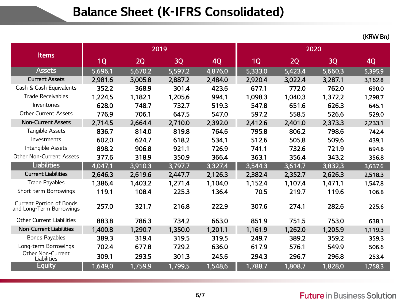## Balance Sheet (K-IFRS Consolidated)

(KRW Bn)

|                                                             |         | 2019    |         |         | 2020    |         |         |         |
|-------------------------------------------------------------|---------|---------|---------|---------|---------|---------|---------|---------|
| <b>Items</b>                                                | 1Q      | 2Q      | 3Q      | 4Q      | 1Q      | 2Q      | 3Q      | 4Q      |
| <b>Assets</b>                                               | 5,696.1 | 5,670.2 | 5,597.2 | 4,876.0 | 5,333.0 | 5,423.4 | 5,660.3 | 5,395.9 |
| <b>Current Assets</b>                                       | 2,981.6 | 3,005.8 | 2,887.2 | 2,484.0 | 2,920.4 | 3,022.4 | 3,287.1 | 3,162.8 |
| Cash & Cash Equivalents                                     | 352.2   | 368.9   | 301.4   | 423.6   | 677.1   | 772.0   | 762.0   | 690.0   |
| <b>Trade Receivables</b>                                    | 1,224.5 | 1,182.1 | 1,205.6 | 994.1   | 1,098.3 | 1,040.3 | 1,372.2 | 1,298.7 |
| Inventories                                                 | 628.0   | 748.7   | 732.7   | 519.3   | 547.8   | 651.6   | 626.3   | 645.1   |
| <b>Other Current Assets</b>                                 | 776.9   | 706.1   | 647.5   | 547.0   | 597.2   | 558.5   | 526.6   | 529.0   |
| <b>Non-Current Assets</b>                                   | 2,714.5 | 2,664.4 | 2,710.0 | 2,392.0 | 2,412.6 | 2,401.0 | 2,373.3 | 2,233.1 |
| <b>Tangible Assets</b>                                      | 836.7   | 814.0   | 819.8   | 764.6   | 795.8   | 806.2   | 798.6   | 742.4   |
| Investments                                                 | 602.0   | 624.7   | 618.2   | 534.1   | 512.6   | 505.8   | 509.6   | 439.1   |
| Intangible Assets                                           | 898.2   | 906.8   | 921.1   | 726.9   | 741.1   | 732.6   | 721.9   | 694.8   |
| Other Non-Current Assets                                    | 377.6   | 318.9   | 350.9   | 366.4   | 363.1   | 356.4   | 343.2   | 356.8   |
| <b>Liabilities</b>                                          | 4,047.1 | 3,910.3 | 3,797.7 | 3,327.4 | 3,544.3 | 3,614.7 | 3,832.3 | 3,637.6 |
| <b>Current Liabilities</b>                                  | 2,646.3 | 2,619.6 | 2,447.7 | 2,126.3 | 2,382.4 | 2,352.7 | 2,626.3 | 2,518.3 |
| Trade Payables                                              | 1,386.4 | 1,403.2 | 1,271.4 | 1,104.0 | 1,152.4 | 1,107.4 | 1,471.1 | 1,547.8 |
| Short-term Borrowings                                       | 119.1   | 108.4   | 225.3   | 136.4   | 70.5    | 219.7   | 119.6   | 106.8   |
| <b>Current Portion of Bonds</b><br>and Long-Term Borrowings | 257.0   | 321.7   | 216.8   | 222.9   | 307.6   | 274.1   | 282.6   | 225.6   |
| <b>Other Current Liabilities</b>                            | 883.8   | 786.3   | 734.2   | 663.0   | 851.9   | 751.5   | 753.0   | 638.1   |
| <b>Non-Current Liabilities</b>                              | 1,400.8 | 1,290.7 | 1,350.0 | 1,201.1 | 1,161.9 | 1,262.0 | 1,205.9 | 1,119.3 |
| <b>Bonds Payables</b>                                       | 389.3   | 319.4   | 319.5   | 319.5   | 249.7   | 389.2   | 359.2   | 359.3   |
| Long-term Borrowings                                        | 702.4   | 677.8   | 729.2   | 636.0   | 617.9   | 576.1   | 549.9   | 506.6   |
| Other Non-Current<br>Liabilities                            | 309.1   | 293.5   | 301.3   | 245.6   | 294.3   | 296.7   | 296.8   | 253.4   |
| Equity                                                      | 1,649.0 | 1,759.9 | 1,799.5 | 1,548.6 | 1,788.7 | 1,808.7 | 1,828.0 | 1,758.3 |